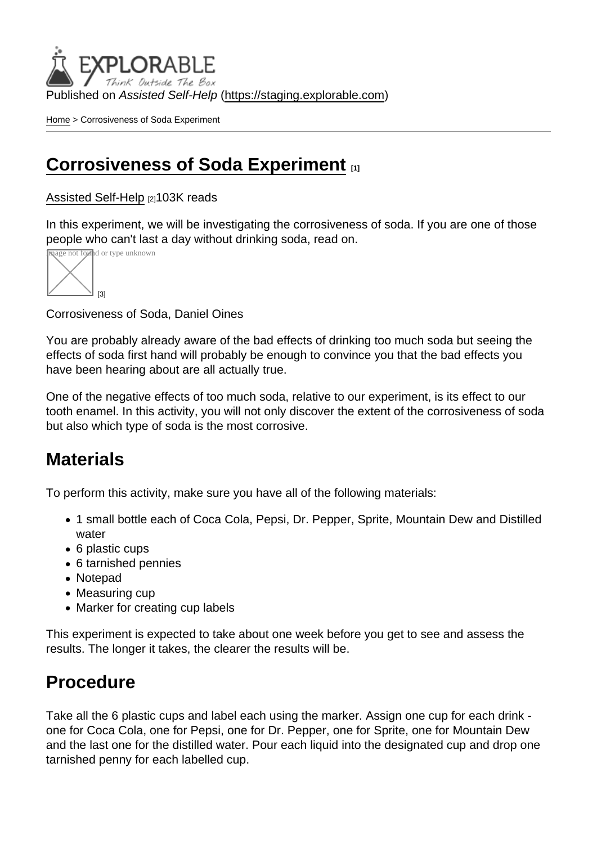Published on Assisted Self-Help [\(https://staging.explorable.com](https://staging.explorable.com))

[Home](https://staging.explorable.com/en) > Corrosiveness of Soda Experiment

### [Corrosiveness of Soda Experiment](https://staging.explorable.com/en/corrosiveness-of-soda-experiment) [1]

#### [Assisted Self-Help](https://staging.explorable.com/en) [2]103K reads

In this experiment, we will be investigating the corrosiveness of soda. If you are one of those people who can't last a day without drinking soda, read on.



Corrosiveness of Soda, Daniel Oines

You are probably already aware of the bad effects of drinking too much soda but seeing the effects of soda first hand will probably be enough to convince you that the bad effects you have been hearing about are all actually true.

One of the negative effects of too much soda, relative to our experiment, is its effect to our tooth enamel. In this activity, you will not only discover the extent of the corrosiveness of soda but also which type of soda is the most corrosive.

### **Materials**

To perform this activity, make sure you have all of the following materials:

- 1 small bottle each of Coca Cola, Pepsi, Dr. Pepper, Sprite, Mountain Dew and Distilled water
- 6 plastic cups
- 6 tarnished pennies
- Notepad
- Measuring cup
- Marker for creating cup labels

This experiment is expected to take about one week before you get to see and assess the results. The longer it takes, the clearer the results will be.

## **Procedure**

Take all the 6 plastic cups and label each using the marker. Assign one cup for each drink one for Coca Cola, one for Pepsi, one for Dr. Pepper, one for Sprite, one for Mountain Dew and the last one for the distilled water. Pour each liquid into the designated cup and drop one tarnished penny for each labelled cup.